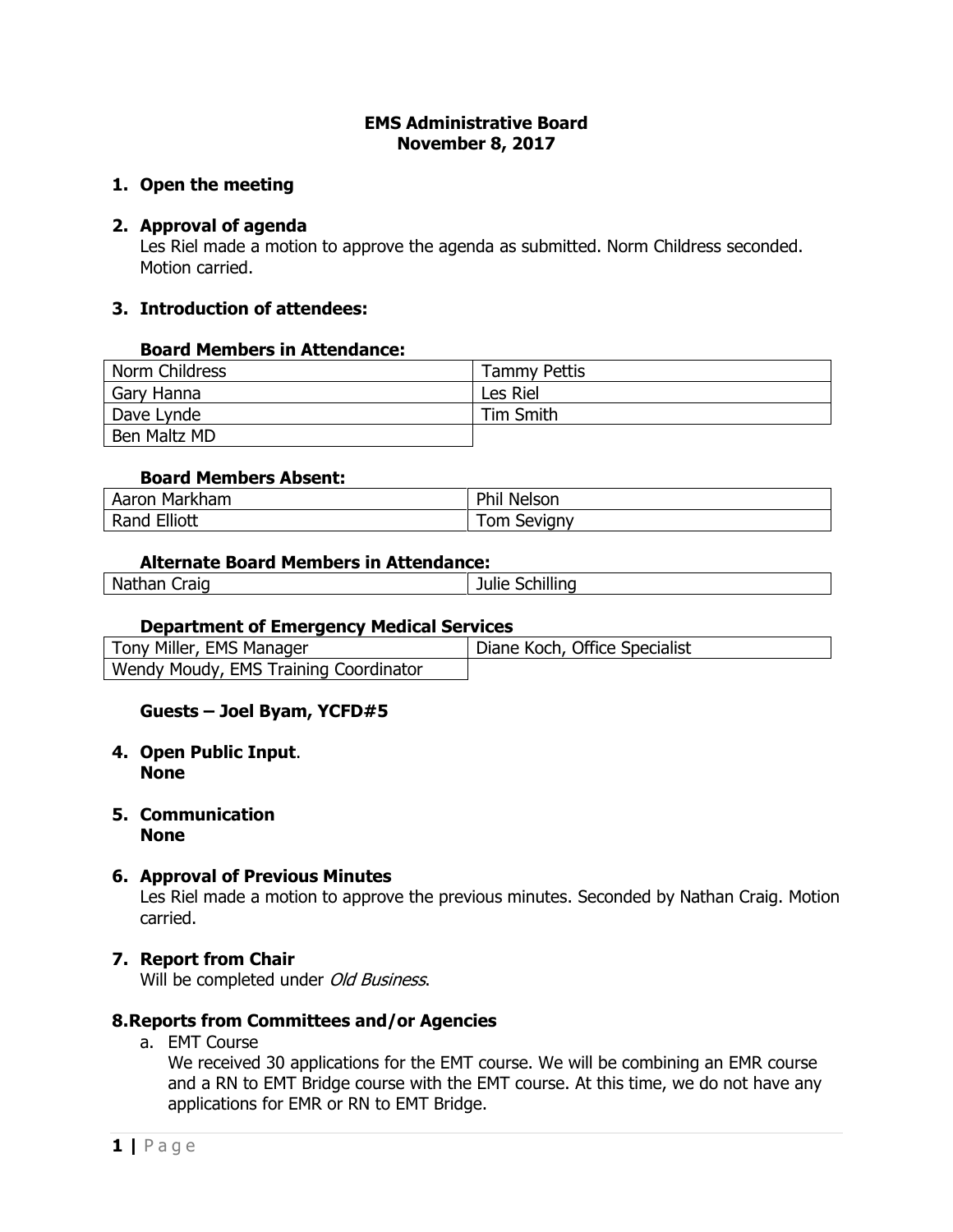### **EMS Administrative Board November 8, 2017**

# **1. Open the meeting**

# **2. Approval of agenda**

Les Riel made a motion to approve the agenda as submitted. Norm Childress seconded. Motion carried.

# **3. Introduction of attendees:**

## **Board Members in Attendance:**

| Norm Childress | <b>Tammy Pettis</b> |
|----------------|---------------------|
| Gary Hanna     | Les Riel            |
| Dave Lynde     | Tim Smith           |
| Ben Maltz MD   |                     |

## **Board Members Absent:**

| Markham                                   | <b>Phin</b>          |
|-------------------------------------------|----------------------|
| Aaron                                     | <sup>''</sup> Nelson |
| Elliott<br>$\mathbf{D}$<br>- Ran≤<br>kand | <b>Sevigny</b><br>om |

### **Alternate Board Members in Attendance:**

| Na            |           |
|---------------|-----------|
| taid          |           |
| --            | --        |
| $\sim$ $\sim$ | -41 HH 67 |
| юн            | 'ILIL     |
|               | ำเ        |

## **Department of Emergency Medical Services**

| Tony Miller, EMS Manager              | Diane Koch, Office Specialist |
|---------------------------------------|-------------------------------|
| Wendy Moudy, EMS Training Coordinator |                               |

# **Guests – Joel Byam, YCFD#5**

### **4. Open Public Input**. **None**

**5. Communication None**

## **6. Approval of Previous Minutes**

Les Riel made a motion to approve the previous minutes. Seconded by Nathan Craig. Motion carried.

## **7. Report from Chair**

Will be completed under Old Business.

## **8.Reports from Committees and/or Agencies**

a. EMT Course

We received 30 applications for the EMT course. We will be combining an EMR course and a RN to EMT Bridge course with the EMT course. At this time, we do not have any applications for EMR or RN to EMT Bridge.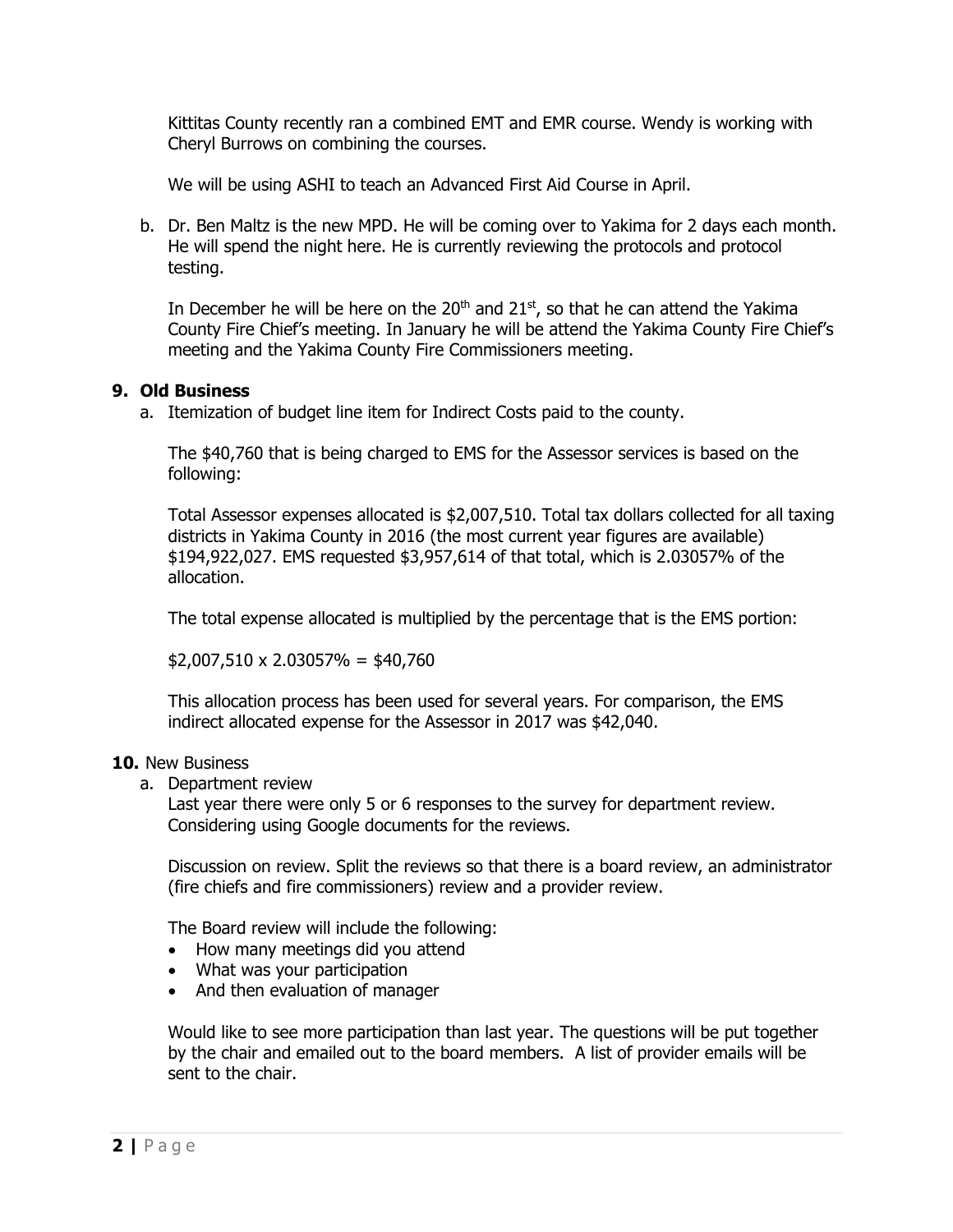Kittitas County recently ran a combined EMT and EMR course. Wendy is working with Cheryl Burrows on combining the courses.

We will be using ASHI to teach an Advanced First Aid Course in April.

b. Dr. Ben Maltz is the new MPD. He will be coming over to Yakima for 2 days each month. He will spend the night here. He is currently reviewing the protocols and protocol testing.

In December he will be here on the  $20<sup>th</sup>$  and  $21<sup>st</sup>$ , so that he can attend the Yakima County Fire Chief's meeting. In January he will be attend the Yakima County Fire Chief's meeting and the Yakima County Fire Commissioners meeting.

# **9. Old Business**

a. Itemization of budget line item for Indirect Costs paid to the county.

The \$40,760 that is being charged to EMS for the Assessor services is based on the following:

Total Assessor expenses allocated is \$2,007,510. Total tax dollars collected for all taxing districts in Yakima County in 2016 (the most current year figures are available) \$194,922,027. EMS requested \$3,957,614 of that total, which is 2.03057% of the allocation.

The total expense allocated is multiplied by the percentage that is the EMS portion:

 $$2,007,510 \times 2.03057\% = $40,760$ 

This allocation process has been used for several years. For comparison, the EMS indirect allocated expense for the Assessor in 2017 was \$42,040.

## **10.** New Business

a. Department review

Last year there were only 5 or 6 responses to the survey for department review. Considering using Google documents for the reviews.

Discussion on review. Split the reviews so that there is a board review, an administrator (fire chiefs and fire commissioners) review and a provider review.

The Board review will include the following:

- How many meetings did you attend
- What was your participation
- And then evaluation of manager

Would like to see more participation than last year. The questions will be put together by the chair and emailed out to the board members. A list of provider emails will be sent to the chair.